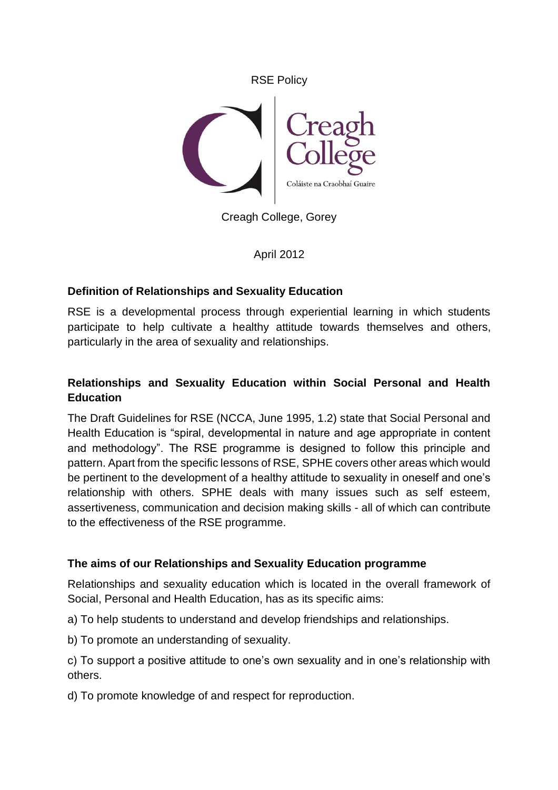

Creagh College, Gorey

April 2012

# **Definition of Relationships and Sexuality Education**

RSE is a developmental process through experiential learning in which students participate to help cultivate a healthy attitude towards themselves and others, particularly in the area of sexuality and relationships.

# **Relationships and Sexuality Education within Social Personal and Health Education**

The Draft Guidelines for RSE (NCCA, June 1995, 1.2) state that Social Personal and Health Education is "spiral, developmental in nature and age appropriate in content and methodology". The RSE programme is designed to follow this principle and pattern. Apart from the specific lessons of RSE, SPHE covers other areas which would be pertinent to the development of a healthy attitude to sexuality in oneself and one's relationship with others. SPHE deals with many issues such as self esteem, assertiveness, communication and decision making skills - all of which can contribute to the effectiveness of the RSE programme.

### **The aims of our Relationships and Sexuality Education programme**

Relationships and sexuality education which is located in the overall framework of Social, Personal and Health Education, has as its specific aims:

a) To help students to understand and develop friendships and relationships.

b) To promote an understanding of sexuality.

c) To support a positive attitude to one's own sexuality and in one's relationship with others.

d) To promote knowledge of and respect for reproduction.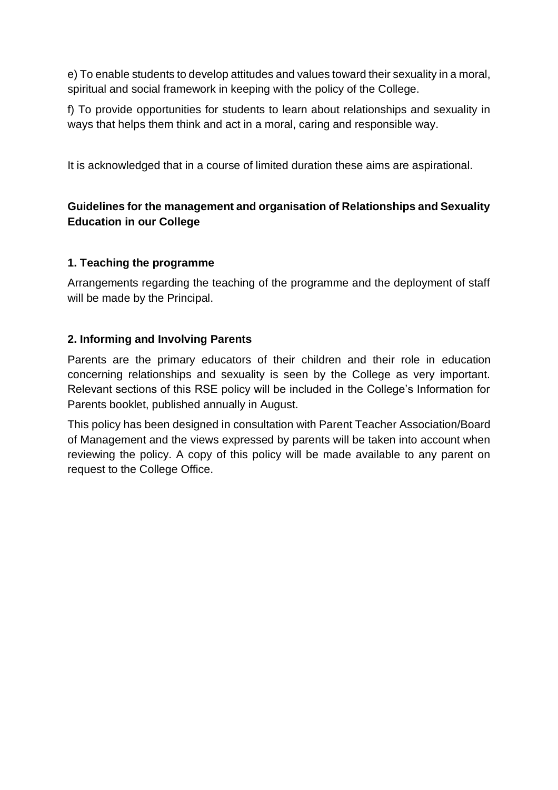e) To enable students to develop attitudes and values toward their sexuality in a moral, spiritual and social framework in keeping with the policy of the College.

f) To provide opportunities for students to learn about relationships and sexuality in ways that helps them think and act in a moral, caring and responsible way.

It is acknowledged that in a course of limited duration these aims are aspirational.

# **Guidelines for the management and organisation of Relationships and Sexuality Education in our College**

## **1. Teaching the programme**

Arrangements regarding the teaching of the programme and the deployment of staff will be made by the Principal.

## **2. Informing and Involving Parents**

Parents are the primary educators of their children and their role in education concerning relationships and sexuality is seen by the College as very important. Relevant sections of this RSE policy will be included in the College's Information for Parents booklet, published annually in August.

This policy has been designed in consultation with Parent Teacher Association/Board of Management and the views expressed by parents will be taken into account when reviewing the policy. A copy of this policy will be made available to any parent on request to the College Office.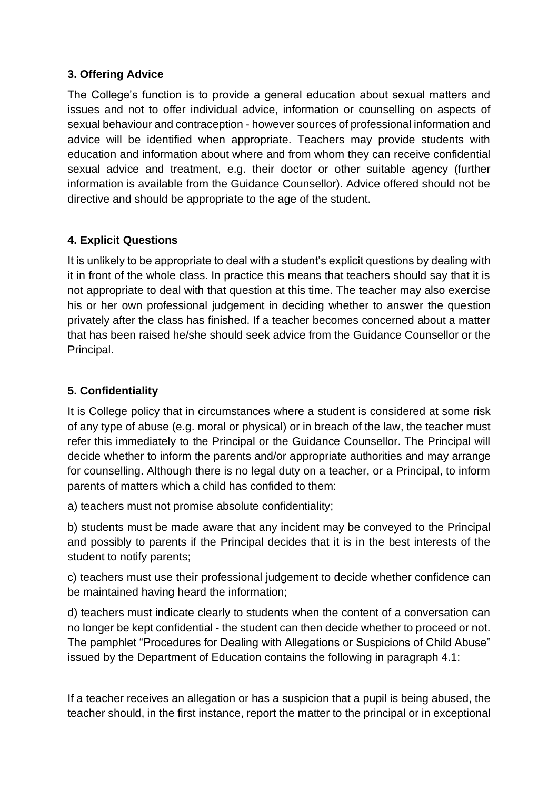## **3. Offering Advice**

The College's function is to provide a general education about sexual matters and issues and not to offer individual advice, information or counselling on aspects of sexual behaviour and contraception - however sources of professional information and advice will be identified when appropriate. Teachers may provide students with education and information about where and from whom they can receive confidential sexual advice and treatment, e.g. their doctor or other suitable agency (further information is available from the Guidance Counsellor). Advice offered should not be directive and should be appropriate to the age of the student.

## **4. Explicit Questions**

It is unlikely to be appropriate to deal with a student's explicit questions by dealing with it in front of the whole class. In practice this means that teachers should say that it is not appropriate to deal with that question at this time. The teacher may also exercise his or her own professional judgement in deciding whether to answer the question privately after the class has finished. If a teacher becomes concerned about a matter that has been raised he/she should seek advice from the Guidance Counsellor or the Principal.

## **5. Confidentiality**

It is College policy that in circumstances where a student is considered at some risk of any type of abuse (e.g. moral or physical) or in breach of the law, the teacher must refer this immediately to the Principal or the Guidance Counsellor. The Principal will decide whether to inform the parents and/or appropriate authorities and may arrange for counselling. Although there is no legal duty on a teacher, or a Principal, to inform parents of matters which a child has confided to them:

a) teachers must not promise absolute confidentiality;

b) students must be made aware that any incident may be conveyed to the Principal and possibly to parents if the Principal decides that it is in the best interests of the student to notify parents;

c) teachers must use their professional judgement to decide whether confidence can be maintained having heard the information;

d) teachers must indicate clearly to students when the content of a conversation can no longer be kept confidential - the student can then decide whether to proceed or not. The pamphlet "Procedures for Dealing with Allegations or Suspicions of Child Abuse" issued by the Department of Education contains the following in paragraph 4.1:

If a teacher receives an allegation or has a suspicion that a pupil is being abused, the teacher should, in the first instance, report the matter to the principal or in exceptional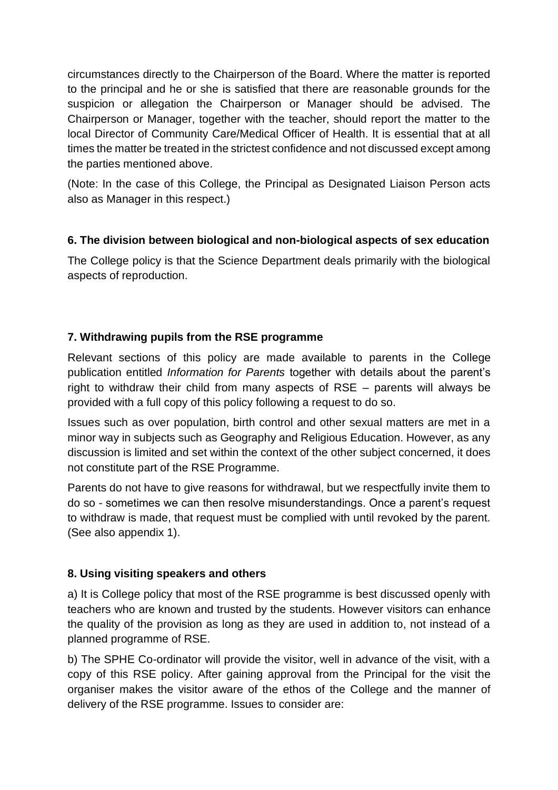circumstances directly to the Chairperson of the Board. Where the matter is reported to the principal and he or she is satisfied that there are reasonable grounds for the suspicion or allegation the Chairperson or Manager should be advised. The Chairperson or Manager, together with the teacher, should report the matter to the local Director of Community Care/Medical Officer of Health. It is essential that at all times the matter be treated in the strictest confidence and not discussed except among the parties mentioned above.

(Note: In the case of this College, the Principal as Designated Liaison Person acts also as Manager in this respect.)

# **6. The division between biological and non-biological aspects of sex education**

The College policy is that the Science Department deals primarily with the biological aspects of reproduction.

## **7. Withdrawing pupils from the RSE programme**

Relevant sections of this policy are made available to parents in the College publication entitled *Information for Parents* together with details about the parent's right to withdraw their child from many aspects of RSE – parents will always be provided with a full copy of this policy following a request to do so.

Issues such as over population, birth control and other sexual matters are met in a minor way in subjects such as Geography and Religious Education. However, as any discussion is limited and set within the context of the other subject concerned, it does not constitute part of the RSE Programme.

Parents do not have to give reasons for withdrawal, but we respectfully invite them to do so - sometimes we can then resolve misunderstandings. Once a parent's request to withdraw is made, that request must be complied with until revoked by the parent. (See also appendix 1).

### **8. Using visiting speakers and others**

a) It is College policy that most of the RSE programme is best discussed openly with teachers who are known and trusted by the students. However visitors can enhance the quality of the provision as long as they are used in addition to, not instead of a planned programme of RSE.

b) The SPHE Co-ordinator will provide the visitor, well in advance of the visit, with a copy of this RSE policy. After gaining approval from the Principal for the visit the organiser makes the visitor aware of the ethos of the College and the manner of delivery of the RSE programme. Issues to consider are: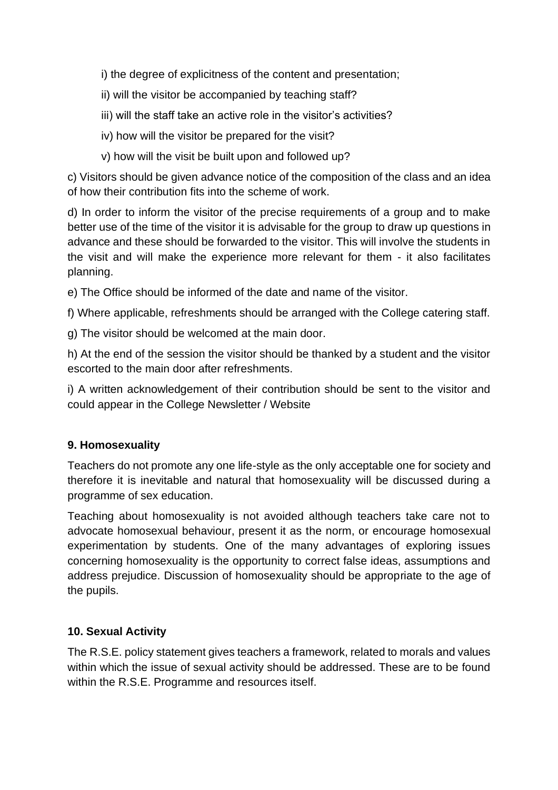i) the degree of explicitness of the content and presentation;

- ii) will the visitor be accompanied by teaching staff?
- iii) will the staff take an active role in the visitor's activities?
- iv) how will the visitor be prepared for the visit?
- v) how will the visit be built upon and followed up?

c) Visitors should be given advance notice of the composition of the class and an idea of how their contribution fits into the scheme of work.

d) In order to inform the visitor of the precise requirements of a group and to make better use of the time of the visitor it is advisable for the group to draw up questions in advance and these should be forwarded to the visitor. This will involve the students in the visit and will make the experience more relevant for them - it also facilitates planning.

e) The Office should be informed of the date and name of the visitor.

f) Where applicable, refreshments should be arranged with the College catering staff.

g) The visitor should be welcomed at the main door.

h) At the end of the session the visitor should be thanked by a student and the visitor escorted to the main door after refreshments.

i) A written acknowledgement of their contribution should be sent to the visitor and could appear in the College Newsletter / Website

# **9. Homosexuality**

Teachers do not promote any one life-style as the only acceptable one for society and therefore it is inevitable and natural that homosexuality will be discussed during a programme of sex education.

Teaching about homosexuality is not avoided although teachers take care not to advocate homosexual behaviour, present it as the norm, or encourage homosexual experimentation by students. One of the many advantages of exploring issues concerning homosexuality is the opportunity to correct false ideas, assumptions and address prejudice. Discussion of homosexuality should be appropriate to the age of the pupils.

# **10. Sexual Activity**

The R.S.E. policy statement gives teachers a framework, related to morals and values within which the issue of sexual activity should be addressed. These are to be found within the R.S.E. Programme and resources itself.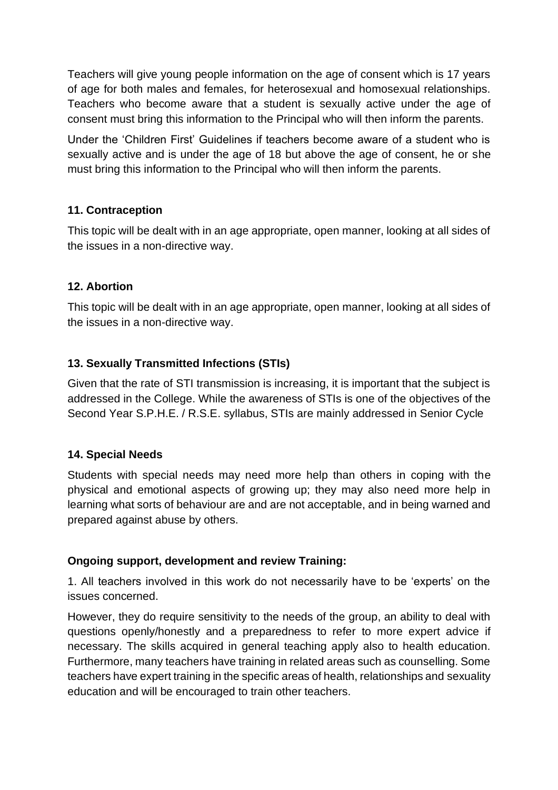Teachers will give young people information on the age of consent which is 17 years of age for both males and females, for heterosexual and homosexual relationships. Teachers who become aware that a student is sexually active under the age of consent must bring this information to the Principal who will then inform the parents.

Under the 'Children First' Guidelines if teachers become aware of a student who is sexually active and is under the age of 18 but above the age of consent, he or she must bring this information to the Principal who will then inform the parents.

## **11. Contraception**

This topic will be dealt with in an age appropriate, open manner, looking at all sides of the issues in a non-directive way.

## **12. Abortion**

This topic will be dealt with in an age appropriate, open manner, looking at all sides of the issues in a non-directive way.

# **13. Sexually Transmitted Infections (STIs)**

Given that the rate of STI transmission is increasing, it is important that the subject is addressed in the College. While the awareness of STIs is one of the objectives of the Second Year S.P.H.E. / R.S.E. syllabus, STIs are mainly addressed in Senior Cycle

### **14. Special Needs**

Students with special needs may need more help than others in coping with the physical and emotional aspects of growing up; they may also need more help in learning what sorts of behaviour are and are not acceptable, and in being warned and prepared against abuse by others.

### **Ongoing support, development and review Training:**

1. All teachers involved in this work do not necessarily have to be 'experts' on the issues concerned.

However, they do require sensitivity to the needs of the group, an ability to deal with questions openly/honestly and a preparedness to refer to more expert advice if necessary. The skills acquired in general teaching apply also to health education. Furthermore, many teachers have training in related areas such as counselling. Some teachers have expert training in the specific areas of health, relationships and sexuality education and will be encouraged to train other teachers.